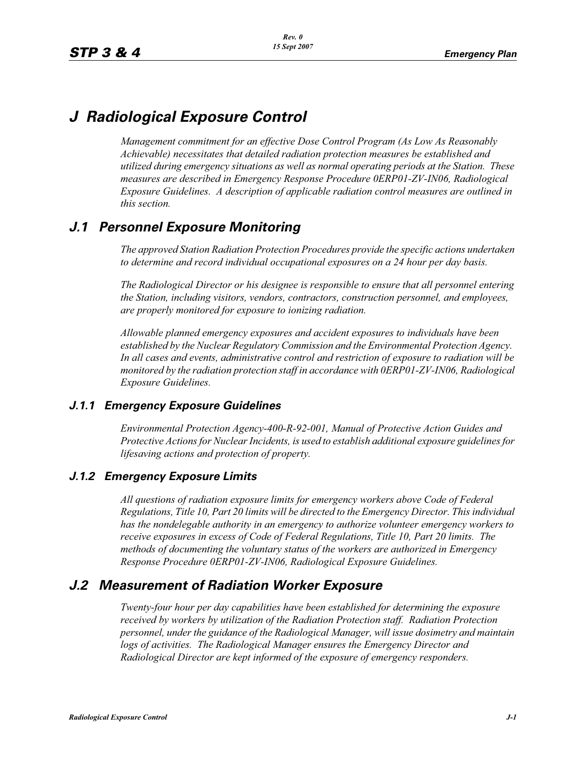# *J Radiological Exposure Control*

*Management commitment for an effective Dose Control Program (As Low As Reasonably Achievable) necessitates that detailed radiation protection measures be established and utilized during emergency situations as well as normal operating periods at the Station. These measures are described in Emergency Response Procedure 0ERP01-ZV-IN06, Radiological Exposure Guidelines. A description of applicable radiation control measures are outlined in this section.*

# *J.1 Personnel Exposure Monitoring*

*The approved Station Radiation Protection Procedures provide the specific actions undertaken to determine and record individual occupational exposures on a 24 hour per day basis.*

*The Radiological Director or his designee is responsible to ensure that all personnel entering the Station, including visitors, vendors, contractors, construction personnel, and employees, are properly monitored for exposure to ionizing radiation.*

*Allowable planned emergency exposures and accident exposures to individuals have been established by the Nuclear Regulatory Commission and the Environmental Protection Agency. In all cases and events, administrative control and restriction of exposure to radiation will be monitored by the radiation protection staff in accordance with 0ERP01-ZV-IN06, Radiological Exposure Guidelines.*

### *J.1.1 Emergency Exposure Guidelines*

*Environmental Protection Agency-400-R-92-001, Manual of Protective Action Guides and Protective Actions for Nuclear Incidents, is used to establish additional exposure guidelines for lifesaving actions and protection of property.*

### *J.1.2 Emergency Exposure Limits*

*All questions of radiation exposure limits for emergency workers above Code of Federal Regulations, Title 10, Part 20 limits will be directed to the Emergency Director. This individual has the nondelegable authority in an emergency to authorize volunteer emergency workers to receive exposures in excess of Code of Federal Regulations, Title 10, Part 20 limits. The methods of documenting the voluntary status of the workers are authorized in Emergency Response Procedure 0ERP01-ZV-IN06, Radiological Exposure Guidelines.*

# *J.2 Measurement of Radiation Worker Exposure*

*Twenty-four hour per day capabilities have been established for determining the exposure received by workers by utilization of the Radiation Protection staff. Radiation Protection personnel, under the guidance of the Radiological Manager, will issue dosimetry and maintain logs of activities. The Radiological Manager ensures the Emergency Director and Radiological Director are kept informed of the exposure of emergency responders.*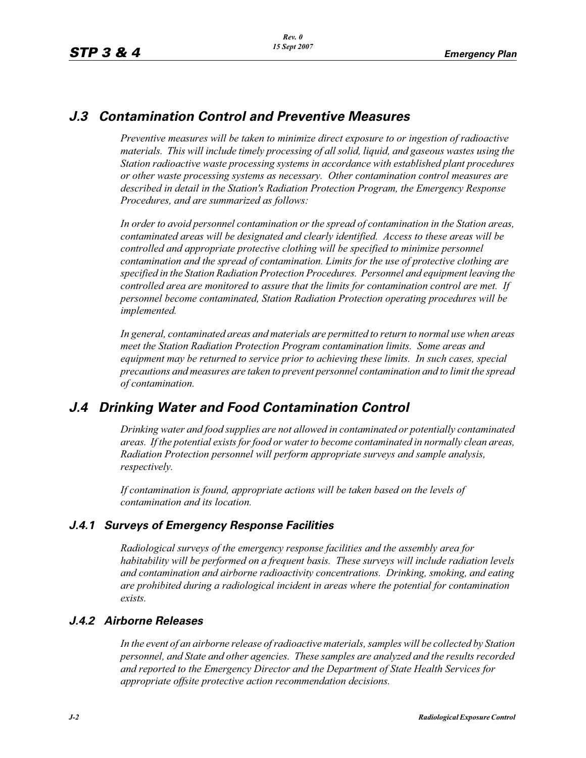## *J.3 Contamination Control and Preventive Measures*

*Preventive measures will be taken to minimize direct exposure to or ingestion of radioactive materials. This will include timely processing of all solid, liquid, and gaseous wastes using the Station radioactive waste processing systems in accordance with established plant procedures or other waste processing systems as necessary. Other contamination control measures are described in detail in the Station's Radiation Protection Program, the Emergency Response Procedures, and are summarized as follows:*

*In order to avoid personnel contamination or the spread of contamination in the Station areas, contaminated areas will be designated and clearly identified. Access to these areas will be controlled and appropriate protective clothing will be specified to minimize personnel contamination and the spread of contamination. Limits for the use of protective clothing are specified in the Station Radiation Protection Procedures. Personnel and equipment leaving the controlled area are monitored to assure that the limits for contamination control are met. If personnel become contaminated, Station Radiation Protection operating procedures will be implemented.* 

*In general, contaminated areas and materials are permitted to return to normal use when areas meet the Station Radiation Protection Program contamination limits. Some areas and equipment may be returned to service prior to achieving these limits. In such cases, special precautions and measures are taken to prevent personnel contamination and to limit the spread of contamination.*

# *J.4 Drinking Water and Food Contamination Control*

*Drinking water and food supplies are not allowed in contaminated or potentially contaminated areas. If the potential exists for food or water to become contaminated in normally clean areas, Radiation Protection personnel will perform appropriate surveys and sample analysis, respectively.*

*If contamination is found, appropriate actions will be taken based on the levels of contamination and its location.*

### *J.4.1 Surveys of Emergency Response Facilities*

*Radiological surveys of the emergency response facilities and the assembly area for habitability will be performed on a frequent basis. These surveys will include radiation levels and contamination and airborne radioactivity concentrations. Drinking, smoking, and eating are prohibited during a radiological incident in areas where the potential for contamination exists.*

### *J.4.2 Airborne Releases*

*In the event of an airborne release of radioactive materials, samples will be collected by Station personnel, and State and other agencies. These samples are analyzed and the results recorded and reported to the Emergency Director and the Department of State Health Services for appropriate offsite protective action recommendation decisions.*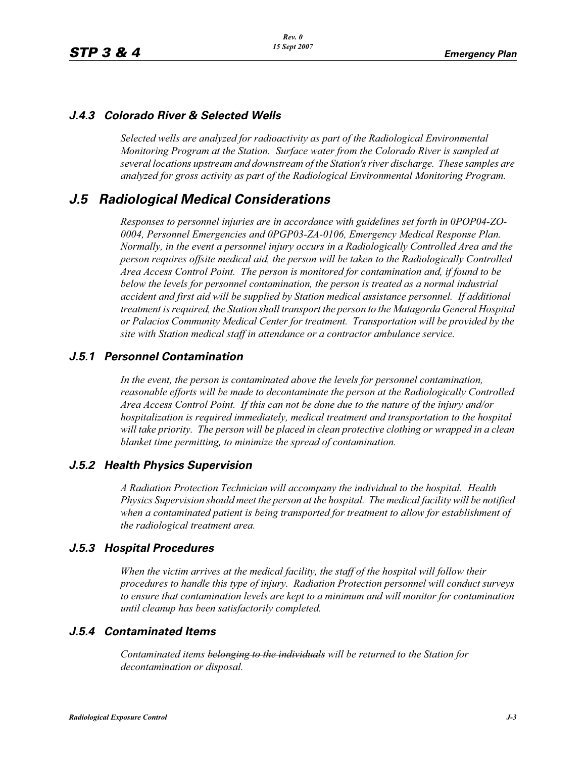### *J.4.3 Colorado River & Selected Wells*

*Selected wells are analyzed for radioactivity as part of the Radiological Environmental Monitoring Program at the Station. Surface water from the Colorado River is sampled at several locations upstream and downstream of the Station's river discharge. These samples are analyzed for gross activity as part of the Radiological Environmental Monitoring Program.*

### *J.5 Radiological Medical Considerations*

*Responses to personnel injuries are in accordance with guidelines set forth in 0POP04-ZO-0004, Personnel Emergencies and 0PGP03-ZA-0106, Emergency Medical Response Plan. Normally, in the event a personnel injury occurs in a Radiologically Controlled Area and the person requires offsite medical aid, the person will be taken to the Radiologically Controlled Area Access Control Point. The person is monitored for contamination and, if found to be*  below the levels for personnel contamination, the person is treated as a normal industrial *accident and first aid will be supplied by Station medical assistance personnel. If additional treatment is required, the Station shall transport the person to the Matagorda General Hospital or Palacios Community Medical Center for treatment. Transportation will be provided by the site with Station medical staff in attendance or a contractor ambulance service.*

#### *J.5.1 Personnel Contamination*

*In the event, the person is contaminated above the levels for personnel contamination, reasonable efforts will be made to decontaminate the person at the Radiologically Controlled Area Access Control Point. If this can not be done due to the nature of the injury and/or hospitalization is required immediately, medical treatment and transportation to the hospital will take priority. The person will be placed in clean protective clothing or wrapped in a clean blanket time permitting, to minimize the spread of contamination.*

#### *J.5.2 Health Physics Supervision*

*A Radiation Protection Technician will accompany the individual to the hospital. Health Physics Supervision should meet the person at the hospital. The medical facility will be notified when a contaminated patient is being transported for treatment to allow for establishment of the radiological treatment area.*

#### *J.5.3 Hospital Procedures*

*When the victim arrives at the medical facility, the staff of the hospital will follow their procedures to handle this type of injury. Radiation Protection personnel will conduct surveys to ensure that contamination levels are kept to a minimum and will monitor for contamination until cleanup has been satisfactorily completed.*

### *J.5.4 Contaminated Items*

*Contaminated items belonging to the individuals will be returned to the Station for decontamination or disposal.*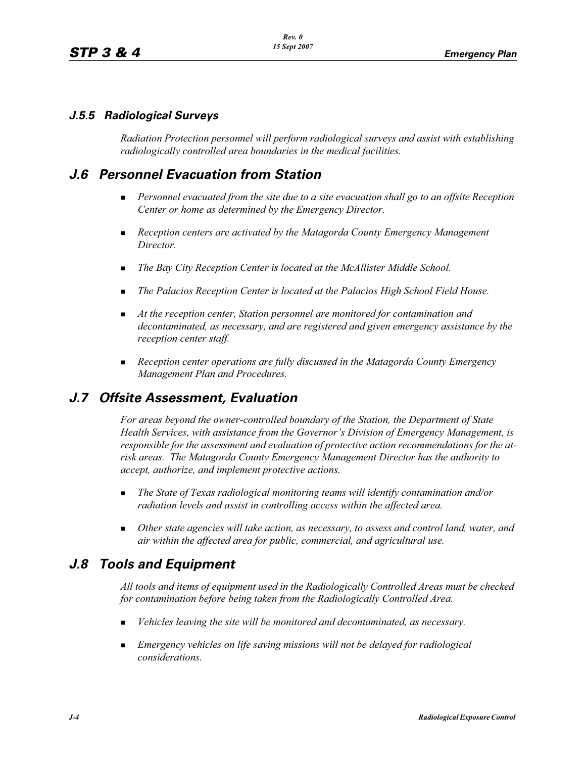### *J.5.5 Radiological Surveys*

*Radiation Protection personnel will perform radiological surveys and assist with establishing radiologically controlled area boundaries in the medical facilities.*

# *J.6 Personnel Evacuation from Station*

- **Personnel evacuated from the site due to a site evacuation shall go to an offsite Reception** *Center or home as determined by the Emergency Director.*
- **Reception centers are activated by the Matagorda County Emergency Management** *Director.*
- -*The Bay City Reception Center is located at the McAllister Middle School.*
- -*The Palacios Reception Center is located at the Palacios High School Field House.*
- **If** At the reception center, Station personnel are monitored for contamination and *decontaminated, as necessary, and are registered and given emergency assistance by the reception center staff.*
- - *Reception center operations are fully discussed in the Matagorda County Emergency Management Plan and Procedures.*

# *J.7 Offsite Assessment, Evaluation*

*For areas beyond the owner-controlled boundary of the Station, the Department of State Health Services, with assistance from the Governor's Division of Emergency Management, is responsible for the assessment and evaluation of protective action recommendations for the atrisk areas. The Matagorda County Emergency Management Director has the authority to accept, authorize, and implement protective actions.*

- - *The State of Texas radiological monitoring teams will identify contamination and/or radiation levels and assist in controlling access within the affected area.*
- - *Other state agencies will take action, as necessary, to assess and control land, water, and air within the affected area for public, commercial, and agricultural use.*

# *J.8 Tools and Equipment*

*All tools and items of equipment used in the Radiologically Controlled Areas must be checked for contamination before being taken from the Radiologically Controlled Area.*

- -*Vehicles leaving the site will be monitored and decontaminated, as necessary.*
- - *Emergency vehicles on life saving missions will not be delayed for radiological considerations.*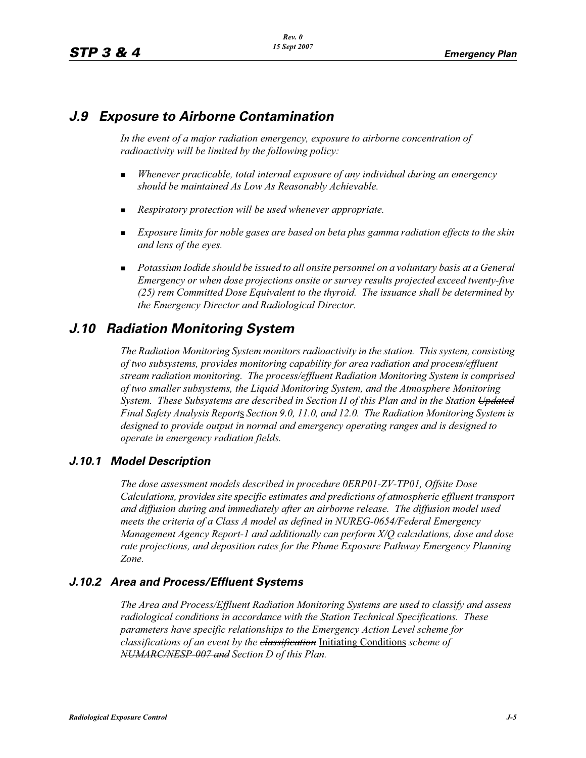## *J.9 Exposure to Airborne Contamination*

In the event of a major radiation emergency, exposure to airborne concentration of *radioactivity will be limited by the following policy:*

- - *Whenever practicable, total internal exposure of any individual during an emergency should be maintained As Low As Reasonably Achievable.*
- -*Respiratory protection will be used whenever appropriate.*
- *Exposure limits for noble gases are based on beta plus gamma radiation effects to the skin and lens of the eyes.*
- **Potassium Iodide should be issued to all onsite personnel on a voluntary basis at a General** *Emergency or when dose projections onsite or survey results projected exceed twenty-five (25) rem Committed Dose Equivalent to the thyroid. The issuance shall be determined by the Emergency Director and Radiological Director.*

# *J.10 Radiation Monitoring System*

*The Radiation Monitoring System monitors radioactivity in the station. This system, consisting of two subsystems, provides monitoring capability for area radiation and process/effluent stream radiation monitoring. The process/effluent Radiation Monitoring System is comprised of two smaller subsystems, the Liquid Monitoring System, and the Atmosphere Monitoring System. These Subsystems are described in Section H of this Plan and in the Station Updated Final Safety Analysis Report*s *Section 9.0, 11.0, and 12.0. The Radiation Monitoring System is designed to provide output in normal and emergency operating ranges and is designed to operate in emergency radiation fields.*

### *J.10.1 Model Description*

*The dose assessment models described in procedure 0ERP01-ZV-TP01, Offsite Dose Calculations, provides site specific estimates and predictions of atmospheric effluent transport and diffusion during and immediately after an airborne release. The diffusion model used meets the criteria of a Class A model as defined in NUREG-0654/Federal Emergency Management Agency Report-1 and additionally can perform X/Q calculations, dose and dose rate projections, and deposition rates for the Plume Exposure Pathway Emergency Planning Zone.*

### *J.10.2 Area and Process/Effluent Systems*

*The Area and Process/Effluent Radiation Monitoring Systems are used to classify and assess radiological conditions in accordance with the Station Technical Specifications. These parameters have specific relationships to the Emergency Action Level scheme for classifications of an event by the classification* Initiating Conditions *scheme of NUMARC/NESP-007 and Section D of this Plan.*